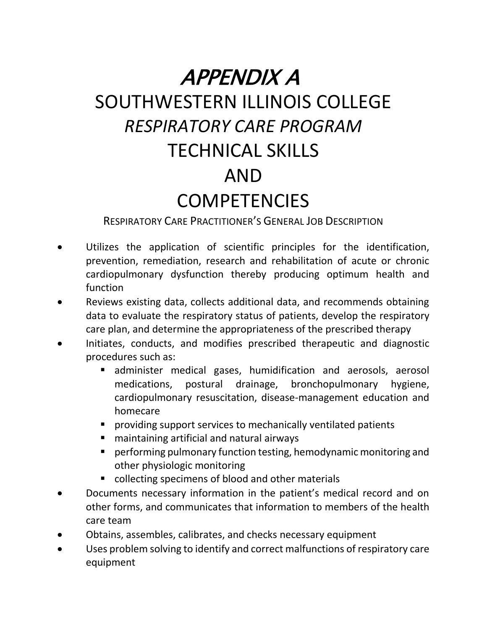## APPENDIX A

## SOUTHWESTERN ILLINOIS COLLEGE *RESPIRATORY CARE PROGRAM* TECHNICAL SKILLS AND **COMPETENCIES**

RESPIRATORY CARE PRACTITIONER'S GENERAL JOB DESCRIPTION

- Utilizes the application of scientific principles for the identification, prevention, remediation, research and rehabilitation of acute or chronic cardiopulmonary dysfunction thereby producing optimum health and function
- Reviews existing data, collects additional data, and recommends obtaining data to evaluate the respiratory status of patients, develop the respiratory care plan, and determine the appropriateness of the prescribed therapy
- Initiates, conducts, and modifies prescribed therapeutic and diagnostic procedures such as:
	- administer medical gases, humidification and aerosols, aerosol medications, postural drainage, bronchopulmonary hygiene, cardiopulmonary resuscitation, disease-management education and homecare
	- **P** providing support services to mechanically ventilated patients
	- maintaining artificial and natural airways
	- performing pulmonary function testing, hemodynamic monitoring and other physiologic monitoring
	- collecting specimens of blood and other materials
- Documents necessary information in the patient's medical record and on other forms, and communicates that information to members of the health care team
- Obtains, assembles, calibrates, and checks necessary equipment
- Uses problem solving to identify and correct malfunctions of respiratory care equipment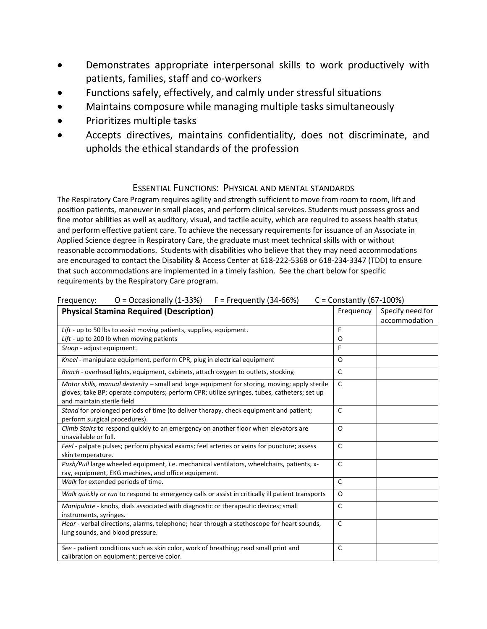- Demonstrates appropriate interpersonal skills to work productively with patients, families, staff and co-workers
- Functions safely, effectively, and calmly under stressful situations
- Maintains composure while managing multiple tasks simultaneously
- Prioritizes multiple tasks
- Accepts directives, maintains confidentiality, does not discriminate, and upholds the ethical standards of the profession

## ESSENTIAL FUNCTIONS: PHYSICAL AND MENTAL STANDARDS

The Respiratory Care Program requires agility and strength sufficient to move from room to room, lift and position patients, maneuver in small places, and perform clinical services. Students must possess gross and fine motor abilities as well as auditory, visual, and tactile acuity, which are required to assess health status and perform effective patient care. To achieve the necessary requirements for issuance of an Associate in Applied Science degree in Respiratory Care, the graduate must meet technical skills with or without reasonable accommodations. Students with disabilities who believe that they may need accommodations are encouraged to contact the Disability & Access Center at 618-222-5368 or 618-234-3347 (TDD) to ensure that such accommodations are implemented in a timely fashion. See the chart below for specific requirements by the Respiratory Care program.

| $O = Occasionally (1-33%)$ $F = Frequently (34-66%)$<br>Frequency:                                                                                                                                                         | $C =$ Constantly (67-100%) |                  |
|----------------------------------------------------------------------------------------------------------------------------------------------------------------------------------------------------------------------------|----------------------------|------------------|
| <b>Physical Stamina Required (Description)</b>                                                                                                                                                                             | Frequency                  | Specify need for |
|                                                                                                                                                                                                                            |                            | accommodation    |
| Lift - up to 50 lbs to assist moving patients, supplies, equipment.                                                                                                                                                        | F                          |                  |
| Lift - up to 200 lb when moving patients                                                                                                                                                                                   | 0                          |                  |
| Stoop - adjust equipment.                                                                                                                                                                                                  | F                          |                  |
| Kneel - manipulate equipment, perform CPR, plug in electrical equipment                                                                                                                                                    | $\Omega$                   |                  |
| Reach - overhead lights, equipment, cabinets, attach oxygen to outlets, stocking                                                                                                                                           | C                          |                  |
| Motor skills, manual dexterity - small and large equipment for storing, moving; apply sterile<br>gloves; take BP; operate computers; perform CPR; utilize syringes, tubes, catheters; set up<br>and maintain sterile field | $\mathsf{C}$               |                  |
| Stand for prolonged periods of time (to deliver therapy, check equipment and patient;<br>perform surgical procedures).                                                                                                     | $\mathsf{C}$               |                  |
| Climb Stairs to respond quickly to an emergency on another floor when elevators are<br>unavailable or full.                                                                                                                | $\Omega$                   |                  |
| Feel - palpate pulses; perform physical exams; feel arteries or veins for puncture; assess<br>skin temperature.                                                                                                            | $\mathsf{C}$               |                  |
| Push/Pull large wheeled equipment, i.e. mechanical ventilators, wheelchairs, patients, x-<br>ray, equipment, EKG machines, and office equipment.                                                                           | $\mathsf{C}$               |                  |
| Walk for extended periods of time.                                                                                                                                                                                         | $\mathsf{C}$               |                  |
| Walk quickly or run to respond to emergency calls or assist in critically ill patient transports                                                                                                                           | O                          |                  |
| Manipulate - knobs, dials associated with diagnostic or therapeutic devices; small<br>instruments, syringes.                                                                                                               | $\mathsf{C}$               |                  |
| Hear - verbal directions, alarms, telephone; hear through a stethoscope for heart sounds,<br>lung sounds, and blood pressure.                                                                                              | $\mathsf{C}$               |                  |
| See - patient conditions such as skin color, work of breathing; read small print and<br>calibration on equipment; perceive color.                                                                                          | C                          |                  |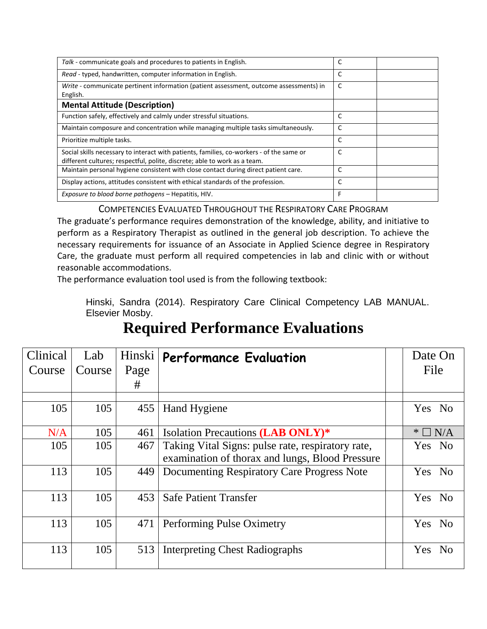| Talk - communicate goals and procedures to patients in English.                                                                                                       | C |
|-----------------------------------------------------------------------------------------------------------------------------------------------------------------------|---|
| Read - typed, handwritten, computer information in English.                                                                                                           | C |
| Write - communicate pertinent information (patient assessment, outcome assessments) in<br>English.                                                                    | C |
| <b>Mental Attitude (Description)</b>                                                                                                                                  |   |
| Function safely, effectively and calmly under stressful situations.                                                                                                   | C |
| Maintain composure and concentration while managing multiple tasks simultaneously.                                                                                    | C |
| Prioritize multiple tasks.                                                                                                                                            | C |
| Social skills necessary to interact with patients, families, co-workers - of the same or<br>different cultures; respectful, polite, discrete; able to work as a team. | C |
| Maintain personal hygiene consistent with close contact during direct patient care.                                                                                   | C |
| Display actions, attitudes consistent with ethical standards of the profession.                                                                                       | C |
| Exposure to blood borne pathogens – Hepatitis, HIV.                                                                                                                   | F |

COMPETENCIES EVALUATED THROUGHOUT THE RESPIRATORY CARE PROGRAM

The graduate's performance requires demonstration of the knowledge, ability, and initiative to perform as a Respiratory Therapist as outlined in the general job description. To achieve the necessary requirements for issuance of an Associate in Applied Science degree in Respiratory Care, the graduate must perform all required competencies in lab and clinic with or without reasonable accommodations.

The performance evaluation tool used is from the following textbook:

Hinski, Sandra (2014). Respiratory Care Clinical Competency LAB MANUAL. Elsevier Mosby.

## **Required Performance Evaluations**

| Clinical | Lab    | Hinski | <b>Performance Evaluation</b>                     | Date On              |                |
|----------|--------|--------|---------------------------------------------------|----------------------|----------------|
| Course   | Course | Page   |                                                   | File                 |                |
|          |        | #      |                                                   |                      |                |
|          |        |        |                                                   |                      |                |
| 105      | 105    | 455    | <b>Hand Hygiene</b>                               | Yes No               |                |
| N/A      | 105    | 461    | Isolation Precautions (LAB ONLY)*                 | $\Box$ N/A<br>$\ast$ |                |
| 105      | 105    | 467    | Taking Vital Signs: pulse rate, respiratory rate, | Yes No               |                |
|          |        |        | examination of thorax and lungs, Blood Pressure   |                      |                |
| 113      | 105    | 449    | Documenting Respiratory Care Progress Note        | Yes No               |                |
| 113      | 105    | 453    | <b>Safe Patient Transfer</b>                      | Yes<br><b>No</b>     |                |
| 113      | 105    | 471    | Performing Pulse Oximetry                         | <b>Yes</b>           | N <sub>0</sub> |
| 113      | 105    | 513    | <b>Interpreting Chest Radiographs</b>             | <b>Yes</b>           | N <sub>0</sub> |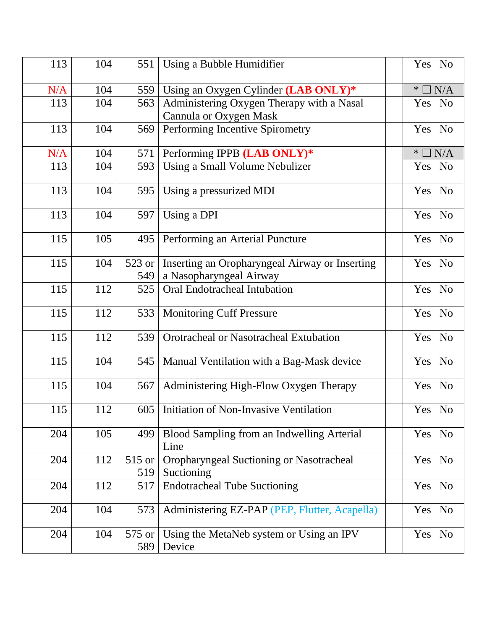| 113 | 104 | 551    | Using a Bubble Humidifier                          | Yes No             |
|-----|-----|--------|----------------------------------------------------|--------------------|
| N/A | 104 | 559    | Using an Oxygen Cylinder (LAB ONLY)*               | $\Box$ N/A<br>$*1$ |
| 113 | 104 | 563    | Administering Oxygen Therapy with a Nasal          | Yes No             |
|     |     |        | Cannula or Oxygen Mask                             |                    |
| 113 | 104 | 569    | Performing Incentive Spirometry                    | Yes No             |
| N/A | 104 | 571    | Performing IPPB (LAB ONLY)*                        | $\Box$ N/A<br>$*1$ |
| 113 | 104 | 593    | Using a Small Volume Nebulizer                     | Yes No             |
| 113 | 104 | 595    | Using a pressurized MDI                            | Yes No             |
| 113 | 104 | 597    | Using a DPI                                        | Yes No             |
| 115 | 105 | 495    | Performing an Arterial Puncture                    | Yes No             |
| 115 | 104 | 523 or | Inserting an Oropharyngeal Airway or Inserting     | Yes No             |
|     |     | 549    | a Nasopharyngeal Airway                            |                    |
| 115 | 112 | 525    | Oral Endotracheal Intubation                       | Yes No             |
| 115 | 112 | 533    | <b>Monitoring Cuff Pressure</b>                    | Yes No             |
| 115 | 112 | 539    | Orotracheal or Nasotracheal Extubation             | Yes No             |
| 115 | 104 | 545    | Manual Ventilation with a Bag-Mask device          | Yes No             |
| 115 | 104 | 567    | Administering High-Flow Oxygen Therapy             | Yes No             |
| 115 | 112 |        | 605   Initiation of Non-Invasive Ventilation       | Yes No             |
| 204 | 105 | 499    | Blood Sampling from an Indwelling Arterial<br>Line | Yes No             |
| 204 | 112 | 515 or | Oropharyngeal Suctioning or Nasotracheal           | Yes No             |
|     |     | 519    | Suctioning                                         |                    |
| 204 | 112 | 517    | <b>Endotracheal Tube Suctioning</b>                | Yes No             |
| 204 | 104 | 573    | Administering EZ-PAP (PEP, Flutter, Acapella)      | Yes No             |
| 204 | 104 | 575 or | Using the MetaNeb system or Using an IPV           | Yes No             |
|     |     | 589    | Device                                             |                    |